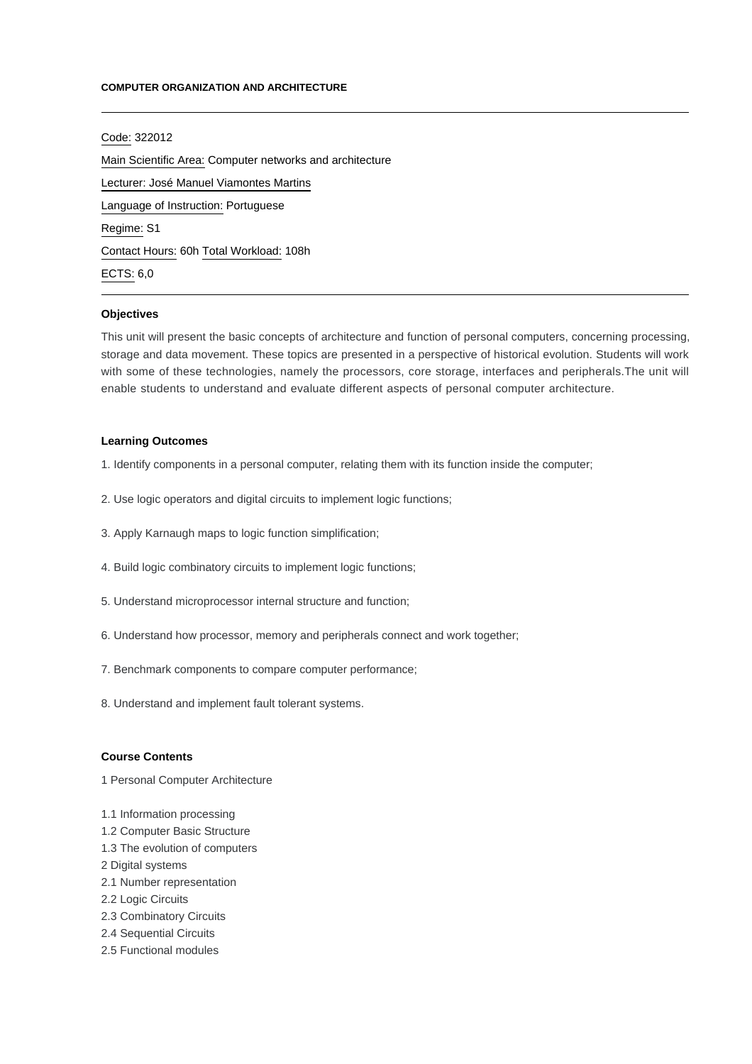### **COMPUTER ORGANIZATION AND ARCHITECTURE**

Code: 322012 Main Scientific Area: Computer networks and architecture Lecturer: [José Manuel Viamontes Martins](mailto:jmartins@ipca.pt) Language of Instruction: Portuguese Regime: S1 Contact Hours: 60h Total Workload: 108h ECTS: 6,0

### **Objectives**

This unit will present the basic concepts of architecture and function of personal computers, concerning processing, storage and data movement. These topics are presented in a perspective of historical evolution. Students will work with some of these technologies, namely the processors, core storage, interfaces and peripherals.The unit will enable students to understand and evaluate different aspects of personal computer architecture.

# **Learning Outcomes**

- 1. Identify components in a personal computer, relating them with its function inside the computer;
- 2. Use logic operators and digital circuits to implement logic functions;
- 3. Apply Karnaugh maps to logic function simplification;
- 4. Build logic combinatory circuits to implement logic functions;
- 5. Understand microprocessor internal structure and function;
- 6. Understand how processor, memory and peripherals connect and work together;
- 7. Benchmark components to compare computer performance;
- 8. Understand and implement fault tolerant systems.

### **Course Contents**

1 Personal Computer Architecture

- 1.1 Information processing
- 1.2 Computer Basic Structure
- 1.3 The evolution of computers
- 2 Digital systems
- 2.1 Number representation
- 2.2 Logic Circuits
- 2.3 Combinatory Circuits
- 2.4 Sequential Circuits
- 2.5 Functional modules